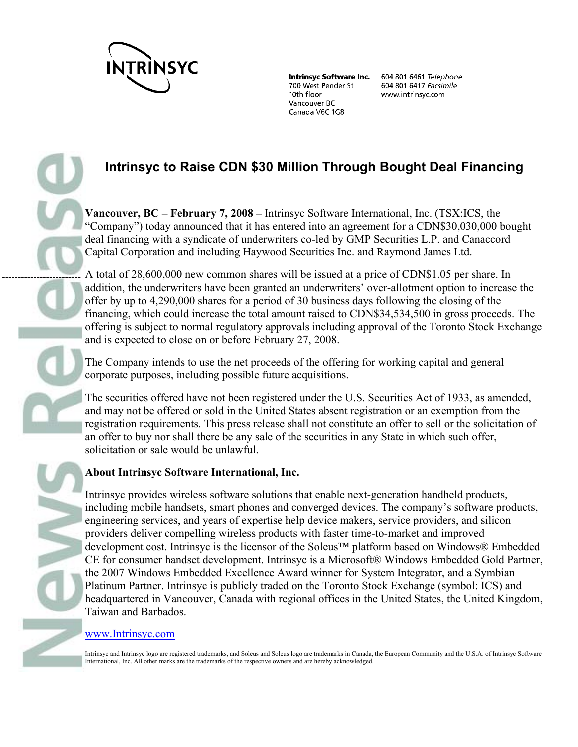

-------------------------

**Intrinsyc Software Inc.** 700 West Pender St 10th floor Vancouver BC Canada V6C 1G8

604 801 6461 Telephone 604 801 6417 Facsimile www.intrinsyc.com

## **Intrinsyc to Raise CDN \$30 Million Through Bought Deal Financing**

**Vancouver, BC – February 7, 2008 –** Intrinsyc Software International, Inc. (TSX:ICS, the "Company") today announced that it has entered into an agreement for a CDN\$30,030,000 bought deal financing with a syndicate of underwriters co-led by GMP Securities L.P. and Canaccord Capital Corporation and including Haywood Securities Inc. and Raymond James Ltd.

A total of 28,600,000 new common shares will be issued at a price of CDN\$1.05 per share. In addition, the underwriters have been granted an underwriters' over-allotment option to increase the offer by up to 4,290,000 shares for a period of 30 business days following the closing of the financing, which could increase the total amount raised to CDN\$34,534,500 in gross proceeds. The offering is subject to normal regulatory approvals including approval of the Toronto Stock Exchange and is expected to close on or before February 27, 2008.

The Company intends to use the net proceeds of the offering for working capital and general corporate purposes, including possible future acquisitions.

The securities offered have not been registered under the U.S. Securities Act of 1933, as amended, and may not be offered or sold in the United States absent registration or an exemption from the registration requirements. This press release shall not constitute an offer to sell or the solicitation of an offer to buy nor shall there be any sale of the securities in any State in which such offer, solicitation or sale would be unlawful.

## **About Intrinsyc Software International, Inc.**

Intrinsyc provides wireless software solutions that enable next-generation handheld products, including mobile handsets, smart phones and converged devices. The company's software products, engineering services, and years of expertise help device makers, service providers, and silicon providers deliver compelling wireless products with faster time-to-market and improved development cost. Intrinsyc is the licensor of the Soleus™ platform based on Windows® Embedded CE for consumer handset development. Intrinsyc is a Microsoft® Windows Embedded Gold Partner, the 2007 Windows Embedded Excellence Award winner for System Integrator, and a Symbian Platinum Partner. Intrinsyc is publicly traded on the Toronto Stock Exchange (symbol: ICS) and headquartered in Vancouver, Canada with regional offices in the United States, the United Kingdom, Taiwan and Barbados.

## www.Intrinsyc.com

Intrinsyc and Intrinsyc logo are registered trademarks, and Soleus and Soleus logo are trademarks in Canada, the European Community and the U.S.A. of Intrinsyc Software International, Inc. All other marks are the trademarks of the respective owners and are hereby acknowledged.